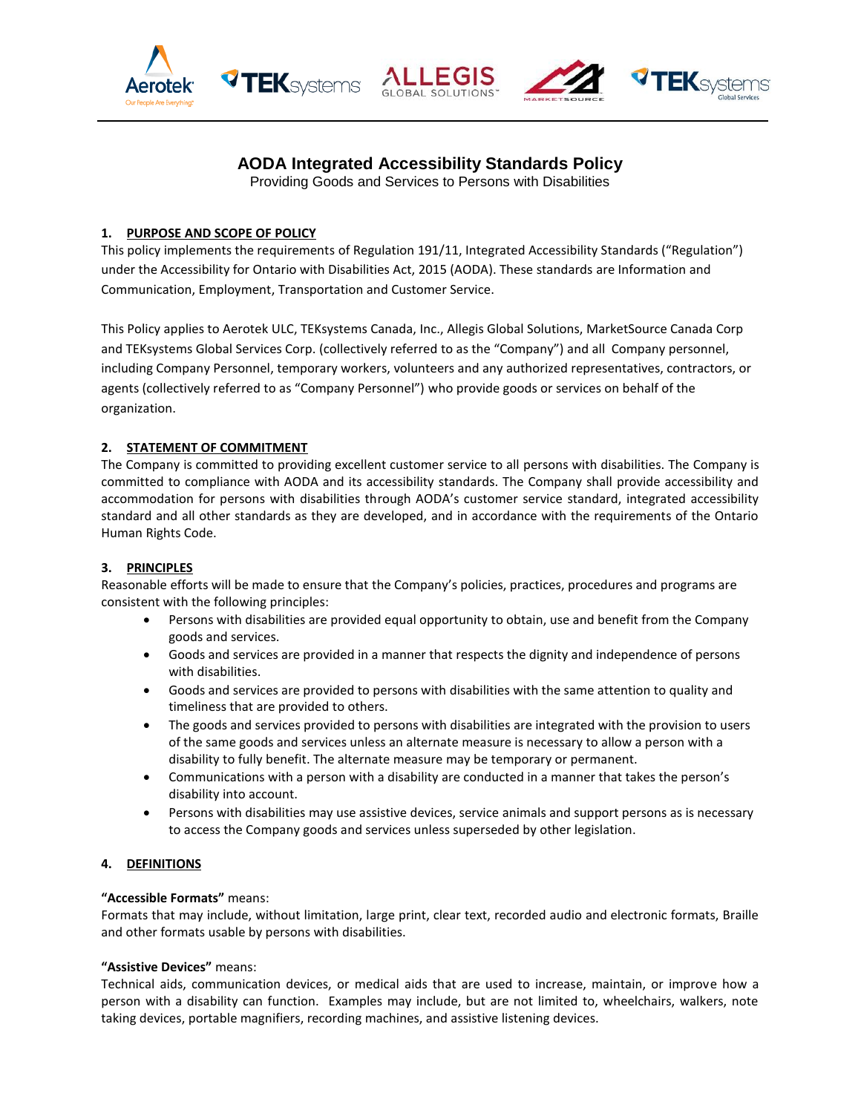





# **AODA Integrated Accessibility Standards Policy**

Providing Goods and Services to Persons with Disabilities

# **1. PURPOSE AND SCOPE OF POLICY**

This policy implements the requirements of Regulation 191/11, Integrated Accessibility Standards ("Regulation") under the Accessibility for Ontario with Disabilities Act, 2015 (AODA). These standards are Information and Communication, Employment, Transportation and Customer Service.

This Policy applies to Aerotek ULC, TEKsystems Canada, Inc., Allegis Global Solutions, MarketSource Canada Corp and TEKsystems Global Services Corp. (collectively referred to as the "Company") and all Company personnel, including Company Personnel, temporary workers, volunteers and any authorized representatives, contractors, or agents (collectively referred to as "Company Personnel") who provide goods or services on behalf of the organization.

# **2. STATEMENT OF COMMITMENT**

The Company is committed to providing excellent customer service to all persons with disabilities. The Company is committed to compliance with AODA and its accessibility standards. The Company shall provide accessibility and accommodation for persons with disabilities through AODA's customer service standard, integrated accessibility standard and all other standards as they are developed, and in accordance with the requirements of the Ontario Human Rights Code.

# **3. PRINCIPLES**

Reasonable efforts will be made to ensure that the Company's policies, practices, procedures and programs are consistent with the following principles:

- Persons with disabilities are provided equal opportunity to obtain, use and benefit from the Company goods and services.
- Goods and services are provided in a manner that respects the dignity and independence of persons with disabilities.
- Goods and services are provided to persons with disabilities with the same attention to quality and timeliness that are provided to others.
- The goods and services provided to persons with disabilities are integrated with the provision to users of the same goods and services unless an alternate measure is necessary to allow a person with a disability to fully benefit. The alternate measure may be temporary or permanent.
- Communications with a person with a disability are conducted in a manner that takes the person's disability into account.
- Persons with disabilities may use assistive devices, service animals and support persons as is necessary to access the Company goods and services unless superseded by other legislation.

# **4. DEFINITIONS**

# **"Accessible Formats"** means:

Formats that may include, without limitation, large print, clear text, recorded audio and electronic formats, Braille and other formats usable by persons with disabilities.

# **"Assistive Devices"** means:

Technical aids, communication devices, or medical aids that are used to increase, maintain, or improve how a person with a disability can function. Examples may include, but are not limited to, wheelchairs, walkers, note taking devices, portable magnifiers, recording machines, and assistive listening devices.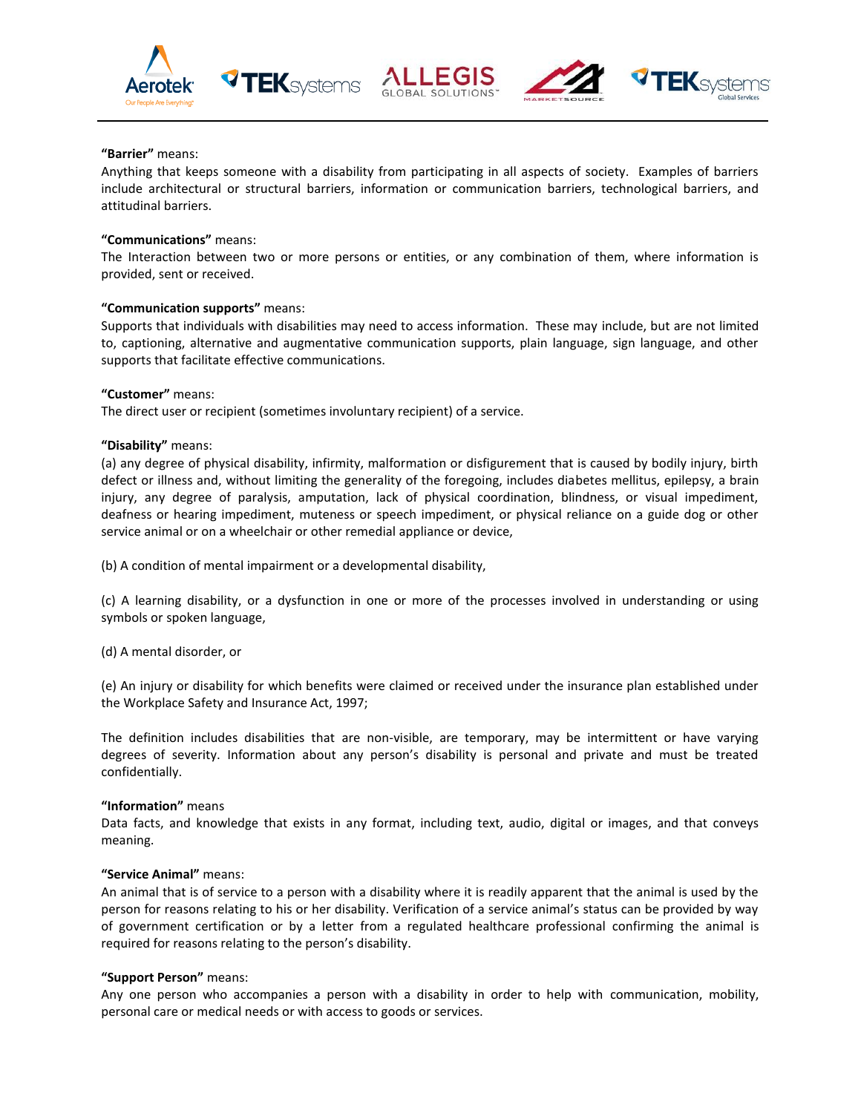





# **"Barrier"** means:

Anything that keeps someone with a disability from participating in all aspects of society. Examples of barriers include architectural or structural barriers, information or communication barriers, technological barriers, and attitudinal barriers.

#### **"Communications"** means:

The Interaction between two or more persons or entities, or any combination of them, where information is provided, sent or received.

# **"Communication supports"** means:

Supports that individuals with disabilities may need to access information. These may include, but are not limited to, captioning, alternative and augmentative communication supports, plain language, sign language, and other supports that facilitate effective communications.

# **"Customer"** means:

The direct user or recipient (sometimes involuntary recipient) of a service.

**TEK**systems

# **"Disability"** means:

(a) any degree of physical disability, infirmity, malformation or disfigurement that is caused by bodily injury, birth defect or illness and, without limiting the generality of the foregoing, includes diabetes mellitus, epilepsy, a brain injury, any degree of paralysis, amputation, lack of physical coordination, blindness, or visual impediment, deafness or hearing impediment, muteness or speech impediment, or physical reliance on a guide dog or other service animal or on a wheelchair or other remedial appliance or device,

(b) A condition of mental impairment or a developmental disability,

(c) A learning disability, or a dysfunction in one or more of the processes involved in understanding or using symbols or spoken language,

(d) A mental disorder, or

(e) An injury or disability for which benefits were claimed or received under the insurance plan established under the Workplace Safety and Insurance Act, 1997;

The definition includes disabilities that are non-visible, are temporary, may be intermittent or have varying degrees of severity. Information about any person's disability is personal and private and must be treated confidentially.

#### **"Information"** means

Data facts, and knowledge that exists in any format, including text, audio, digital or images, and that conveys meaning.

#### **"Service Animal"** means:

An animal that is of service to a person with a disability where it is readily apparent that the animal is used by the person for reasons relating to his or her disability. Verification of a service animal's status can be provided by way of government certification or by a letter from a regulated healthcare professional confirming the animal is required for reasons relating to the person's disability.

#### **"Support Person"** means:

Any one person who accompanies a person with a disability in order to help with communication, mobility, personal care or medical needs or with access to goods or services.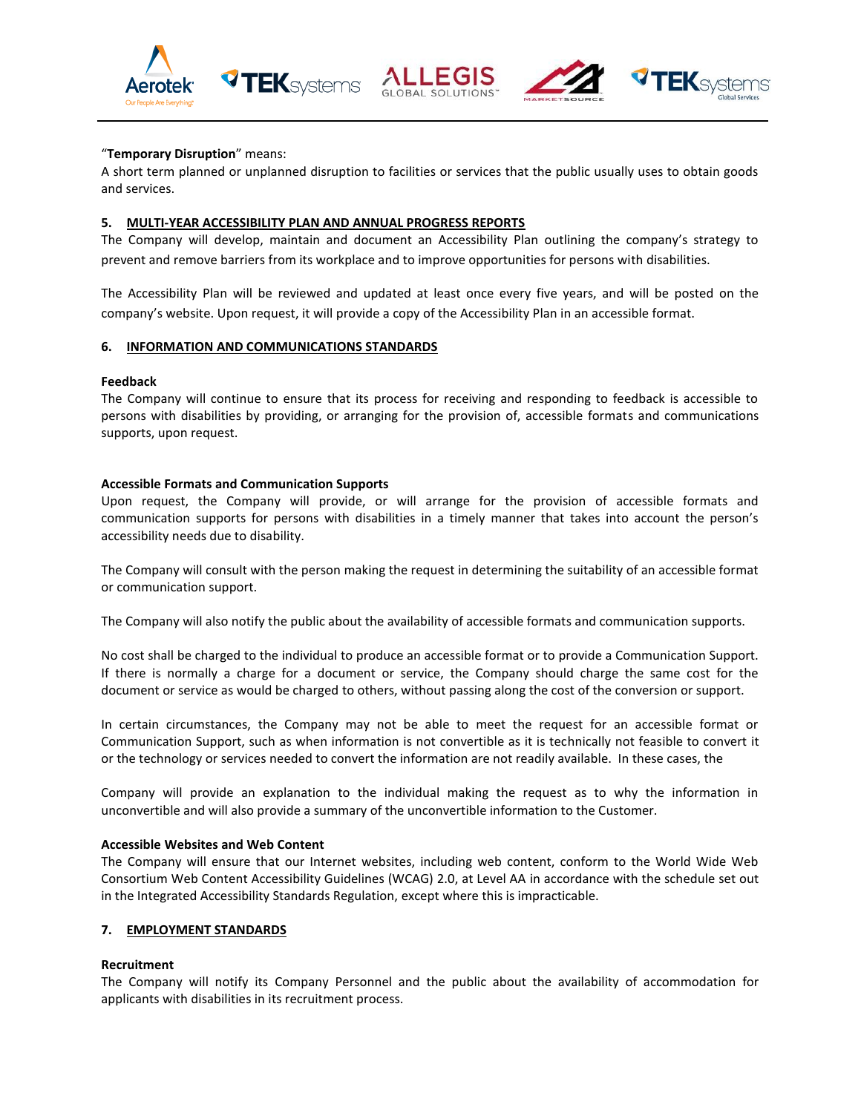





# "**Temporary Disruption**" means:

A short term planned or unplanned disruption to facilities or services that the public usually uses to obtain goods and services.

#### **5. MULTI-YEAR ACCESSIBILITY PLAN AND ANNUAL PROGRESS REPORTS**

**TEK**systems

The Company will develop, maintain and document an Accessibility Plan outlining the company's strategy to prevent and remove barriers from its workplace and to improve opportunities for persons with disabilities.

The Accessibility Plan will be reviewed and updated at least once every five years, and will be posted on the company's website. Upon request, it will provide a copy of the Accessibility Plan in an accessible format.

#### **6. INFORMATION AND COMMUNICATIONS STANDARDS**

#### **Feedback**

The Company will continue to ensure that its process for receiving and responding to feedback is accessible to persons with disabilities by providing, or arranging for the provision of, accessible formats and communications supports, upon request.

#### **Accessible Formats and Communication Supports**

Upon request, the Company will provide, or will arrange for the provision of accessible formats and communication supports for persons with disabilities in a timely manner that takes into account the person's accessibility needs due to disability.

The Company will consult with the person making the request in determining the suitability of an accessible format or communication support.

The Company will also notify the public about the availability of accessible formats and communication supports.

No cost shall be charged to the individual to produce an accessible format or to provide a Communication Support. If there is normally a charge for a document or service, the Company should charge the same cost for the document or service as would be charged to others, without passing along the cost of the conversion or support.

In certain circumstances, the Company may not be able to meet the request for an accessible format or Communication Support, such as when information is not convertible as it is technically not feasible to convert it or the technology or services needed to convert the information are not readily available. In these cases, the

Company will provide an explanation to the individual making the request as to why the information in unconvertible and will also provide a summary of the unconvertible information to the Customer.

#### **Accessible Websites and Web Content**

The Company will ensure that our Internet websites, including web content, conform to the World Wide Web Consortium Web Content Accessibility Guidelines (WCAG) 2.0, at Level AA in accordance with the schedule set out in the Integrated Accessibility Standards Regulation, except where this is impracticable.

#### **7. EMPLOYMENT STANDARDS**

#### **Recruitment**

The Company will notify its Company Personnel and the public about the availability of accommodation for applicants with disabilities in its recruitment process.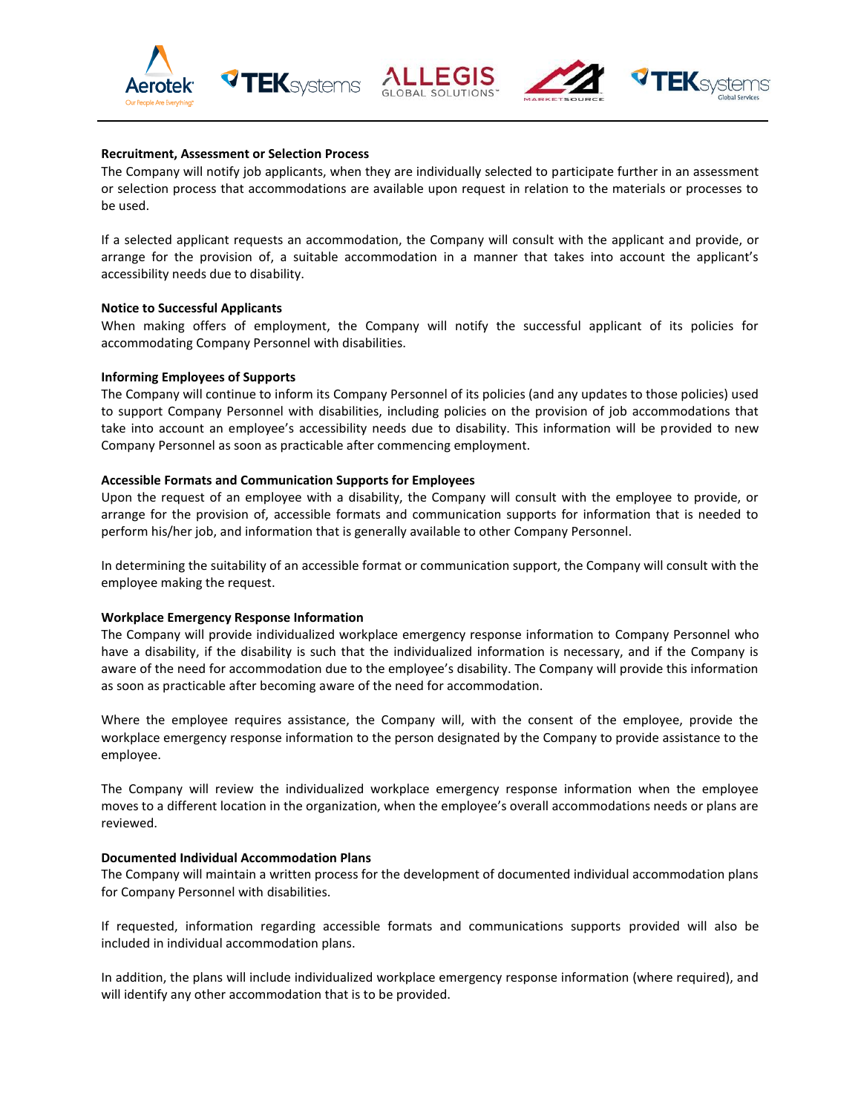

#### **Recruitment, Assessment or Selection Process**

The Company will notify job applicants, when they are individually selected to participate further in an assessment or selection process that accommodations are available upon request in relation to the materials or processes to be used.

If a selected applicant requests an accommodation, the Company will consult with the applicant and provide, or arrange for the provision of, a suitable accommodation in a manner that takes into account the applicant's accessibility needs due to disability.

#### **Notice to Successful Applicants**

When making offers of employment, the Company will notify the successful applicant of its policies for accommodating Company Personnel with disabilities.

#### **Informing Employees of Supports**

The Company will continue to inform its Company Personnel of its policies (and any updates to those policies) used to support Company Personnel with disabilities, including policies on the provision of job accommodations that take into account an employee's accessibility needs due to disability. This information will be provided to new Company Personnel as soon as practicable after commencing employment.

#### **Accessible Formats and Communication Supports for Employees**

Upon the request of an employee with a disability, the Company will consult with the employee to provide, or arrange for the provision of, accessible formats and communication supports for information that is needed to perform his/her job, and information that is generally available to other Company Personnel.

In determining the suitability of an accessible format or communication support, the Company will consult with the employee making the request.

#### **Workplace Emergency Response Information**

The Company will provide individualized workplace emergency response information to Company Personnel who have a disability, if the disability is such that the individualized information is necessary, and if the Company is aware of the need for accommodation due to the employee's disability. The Company will provide this information as soon as practicable after becoming aware of the need for accommodation.

Where the employee requires assistance, the Company will, with the consent of the employee, provide the workplace emergency response information to the person designated by the Company to provide assistance to the employee.

The Company will review the individualized workplace emergency response information when the employee moves to a different location in the organization, when the employee's overall accommodations needs or plans are reviewed.

#### **Documented Individual Accommodation Plans**

The Company will maintain a written process for the development of documented individual accommodation plans for Company Personnel with disabilities.

If requested, information regarding accessible formats and communications supports provided will also be included in individual accommodation plans.

In addition, the plans will include individualized workplace emergency response information (where required), and will identify any other accommodation that is to be provided.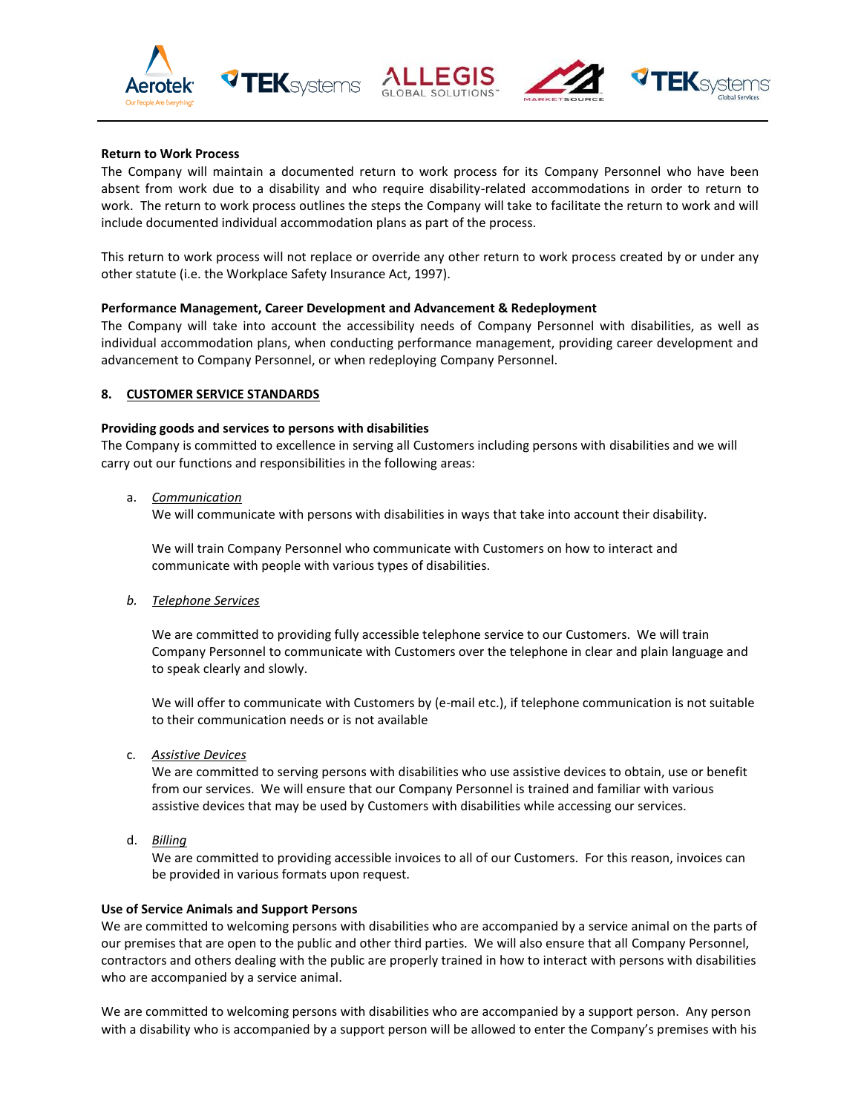





# **Return to Work Process**

The Company will maintain a documented return to work process for its Company Personnel who have been absent from work due to a disability and who require disability-related accommodations in order to return to work. The return to work process outlines the steps the Company will take to facilitate the return to work and will include documented individual accommodation plans as part of the process.

This return to work process will not replace or override any other return to work process created by or under any other statute (i.e. the Workplace Safety Insurance Act, 1997).

#### **Performance Management, Career Development and Advancement & Redeployment**

The Company will take into account the accessibility needs of Company Personnel with disabilities, as well as individual accommodation plans, when conducting performance management, providing career development and advancement to Company Personnel, or when redeploying Company Personnel.

# **8. CUSTOMER SERVICE STANDARDS**

#### **Providing goods and services to persons with disabilities**

The Company is committed to excellence in serving all Customers including persons with disabilities and we will carry out our functions and responsibilities in the following areas:

a. *Communication*

We will communicate with persons with disabilities in ways that take into account their disability.

We will train Company Personnel who communicate with Customers on how to interact and communicate with people with various types of disabilities.

*b. Telephone Services*

We are committed to providing fully accessible telephone service to our Customers. We will train Company Personnel to communicate with Customers over the telephone in clear and plain language and to speak clearly and slowly.

We will offer to communicate with Customers by (e-mail etc.), if telephone communication is not suitable to their communication needs or is not available

c. *Assistive Devices*

We are committed to serving persons with disabilities who use assistive devices to obtain, use or benefit from our services. We will ensure that our Company Personnel is trained and familiar with various assistive devices that may be used by Customers with disabilities while accessing our services.

d. *Billing*

We are committed to providing accessible invoices to all of our Customers. For this reason, invoices can be provided in various formats upon request.

#### **Use of Service Animals and Support Persons**

We are committed to welcoming persons with disabilities who are accompanied by a service animal on the parts of our premises that are open to the public and other third parties. We will also ensure that all Company Personnel, contractors and others dealing with the public are properly trained in how to interact with persons with disabilities who are accompanied by a service animal.

We are committed to welcoming persons with disabilities who are accompanied by a support person. Any person with a disability who is accompanied by a support person will be allowed to enter the Company's premises with his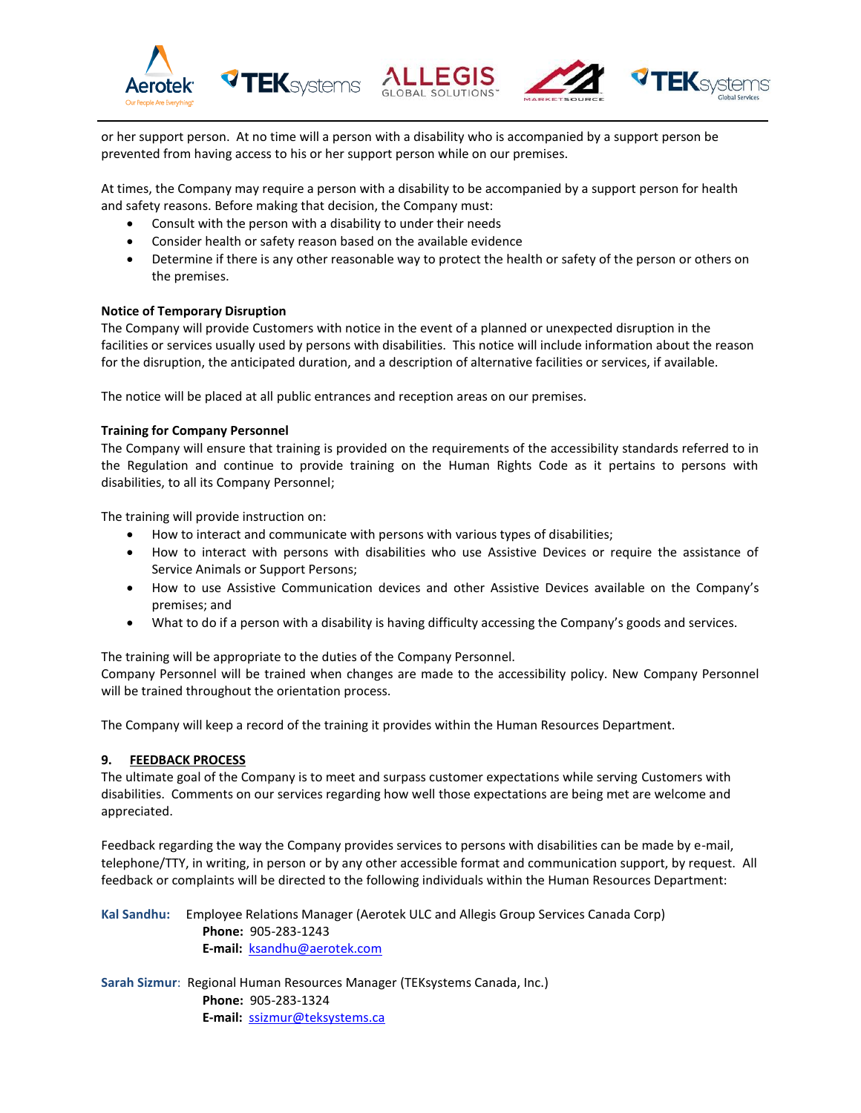





or her support person. At no time will a person with a disability who is accompanied by a support person be prevented from having access to his or her support person while on our premises.

At times, the Company may require a person with a disability to be accompanied by a support person for health and safety reasons. Before making that decision, the Company must:

- Consult with the person with a disability to under their needs
- Consider health or safety reason based on the available evidence
- Determine if there is any other reasonable way to protect the health or safety of the person or others on the premises.

# **Notice of Temporary Disruption**

The Company will provide Customers with notice in the event of a planned or unexpected disruption in the facilities or services usually used by persons with disabilities. This notice will include information about the reason for the disruption, the anticipated duration, and a description of alternative facilities or services, if available.

The notice will be placed at all public entrances and reception areas on our premises.

# **Training for Company Personnel**

The Company will ensure that training is provided on the requirements of the accessibility standards referred to in the Regulation and continue to provide training on the Human Rights Code as it pertains to persons with disabilities, to all its Company Personnel;

The training will provide instruction on:

- How to interact and communicate with persons with various types of disabilities;
- How to interact with persons with disabilities who use Assistive Devices or require the assistance of Service Animals or Support Persons;
- How to use Assistive Communication devices and other Assistive Devices available on the Company's premises; and
- What to do if a person with a disability is having difficulty accessing the Company's goods and services.

The training will be appropriate to the duties of the Company Personnel.

Company Personnel will be trained when changes are made to the accessibility policy. New Company Personnel will be trained throughout the orientation process.

The Company will keep a record of the training it provides within the Human Resources Department.

# **9. FEEDBACK PROCESS**

The ultimate goal of the Company is to meet and surpass customer expectations while serving Customers with disabilities. Comments on our services regarding how well those expectations are being met are welcome and appreciated.

Feedback regarding the way the Company provides services to persons with disabilities can be made by e-mail, telephone/TTY, in writing, in person or by any other accessible format and communication support, by request. All feedback or complaints will be directed to the following individuals within the Human Resources Department:

**Kal Sandhu:** Employee Relations Manager (Aerotek ULC and Allegis Group Services Canada Corp) **Phone:** 905-283-1243 **E-mail:** [ksandhu@aerotek.com](mailto:ksandhu@aerotek.com)

**Sarah Sizmur**: Regional Human Resources Manager (TEKsystems Canada, Inc.) **Phone:** 905-283-1324 **E-mail:** [ssizmur@teksystems.ca](mailto:ssizmur@teksystems.ca)